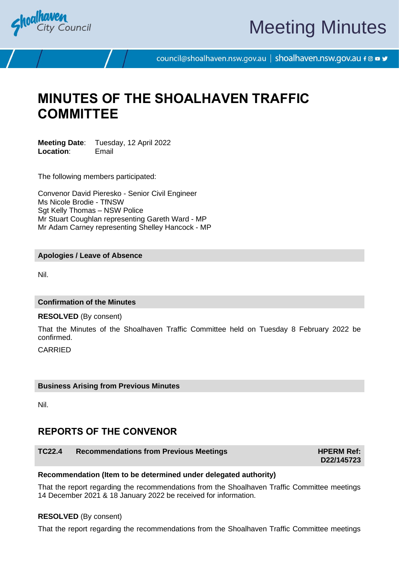

# Meeting Minutes

council@shoalhaven.nsw.gov.au | shoalhaven.nsw.gov.au f @ ■ y

# **MINUTES OF THE SHOALHAVEN TRAFFIC COMMITTEE**

**Meeting Date**: Tuesday, 12 April 2022 **Location**: Email

The following members participated:

Convenor David Pieresko - Senior Civil Engineer Ms Nicole Brodie - TfNSW Sgt Kelly Thomas - NSW Police Mr Stuart Coughlan representing Gareth Ward - MP Mr Adam Carney representing Shelley Hancock - MP

#### **Apologies / Leave of Absence**

Nil.

## **Confirmation of the Minutes**

#### **RESOLVED** (By consent)

That the Minutes of the Shoalhaven Traffic Committee held on Tuesday 8 February 2022 be confirmed.

CARRIED

#### **Business Arising from Previous Minutes**

Nil.

# **REPORTS OF THE CONVENOR**

# **TC22.4** Recommendations from Previous Meetings **HPERM Ref: HPERM Ref:**

**D22/145723**

#### **Recommendation (Item to be determined under delegated authority)**

That the report regarding the recommendations from the Shoalhaven Traffic Committee meetings 14 December 2021 & 18 January 2022 be received for information.

#### **RESOLVED** (By consent)

That the report regarding the recommendations from the Shoalhaven Traffic Committee meetings